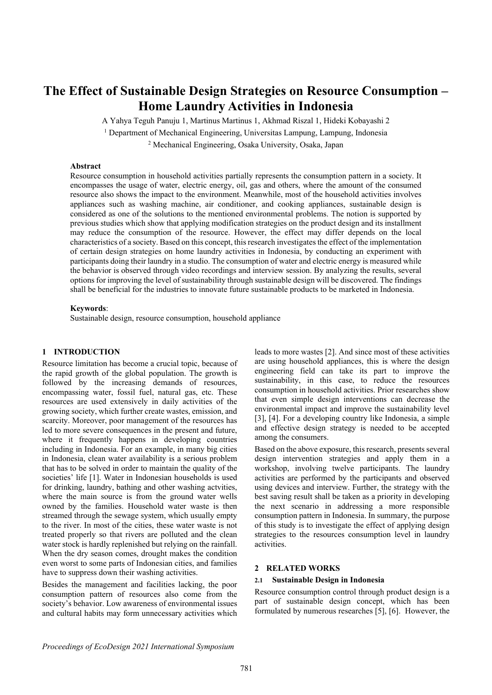# **The Effect of Sustainable Design Strategies on Resource Consumption – Home Laundry Activities in Indonesia**

A Yahya Teguh Panuju 1, Martinus Martinus 1, Akhmad Riszal 1, Hideki Kobayashi 2

<sup>1</sup> Department of Mechanical Engineering, Universitas Lampung, Lampung, Indonesia

<sup>2</sup> Mechanical Engineering, Osaka University, Osaka, Japan

#### **Abstract**

Resource consumption in household activities partially represents the consumption pattern in a society. It encompasses the usage of water, electric energy, oil, gas and others, where the amount of the consumed resource also shows the impact to the environment. Meanwhile, most of the household activities involves appliances such as washing machine, air conditioner, and cooking appliances, sustainable design is considered as one of the solutions to the mentioned environmental problems. The notion is supported by previous studies which show that applying modification strategies on the product design and its installment may reduce the consumption of the resource. However, the effect may differ depends on the local characteristics of a society. Based on this concept, this research investigates the effect of the implementation of certain design strategies on home laundry activities in Indonesia, by conducting an experiment with participants doing their laundry in a studio. The consumption of water and electric energy is measured while the behavior is observed through video recordings and interview session. By analyzing the results, several options for improving the level of sustainability through sustainable design will be discovered. The findings shall be beneficial for the industries to innovate future sustainable products to be marketed in Indonesia.

# **Keywords**:

Sustainable design, resource consumption, household appliance

# **1 INTRODUCTION**

Resource limitation has become a crucial topic, because of the rapid growth of the global population. The growth is followed by the increasing demands of resources, encompassing water, fossil fuel, natural gas, etc. These resources are used extensively in daily activities of the growing society, which further create wastes, emission, and scarcity. Moreover, poor management of the resources has led to more severe consequences in the present and future, where it frequently happens in developing countries including in Indonesia. For an example, in many big cities in Indonesia, clean water availability is a serious problem that has to be solved in order to maintain the quality of the societies' life [1]. Water in Indonesian households is used for drinking, laundry, bathing and other washing actvities, where the main source is from the ground water wells owned by the families. Household water waste is then streamed through the sewage system, which usually empty to the river. In most of the cities, these water waste is not treated properly so that rivers are polluted and the clean water stock is hardly replenished but relying on the rainfall. When the dry season comes, drought makes the condition even worst to some parts of Indonesian cities, and families have to suppress down their washing activities.

Besides the management and facilities lacking, the poor consumption pattern of resources also come from the society's behavior. Low awareness of environmental issues and cultural habits may form unnecessary activities which leads to more wastes [2]. And since most of these activities are using household appliances, this is where the design engineering field can take its part to improve the sustainability, in this case, to reduce the resources consumption in household activities. Prior researches show that even simple design interventions can decrease the environmental impact and improve the sustainability level [3], [4]. For a developing country like Indonesia, a simple and effective design strategy is needed to be accepted among the consumers.

Based on the above exposure, this research, presents several design intervention strategies and apply them in a workshop, involving twelve participants. The laundry activities are performed by the participants and observed using devices and interview. Further, the strategy with the best saving result shall be taken as a priority in developing the next scenario in addressing a more responsible consumption pattern in Indonesia. In summary, the purpose of this study is to investigate the effect of applying design strategies to the resources consumption level in laundry activities.

# **2 RELATED WORKS**

#### **2.1 Sustainable Design in Indonesia**

Resource consumption control through product design is a part of sustainable design concept, which has been formulated by numerous researches [5], [6]. However, the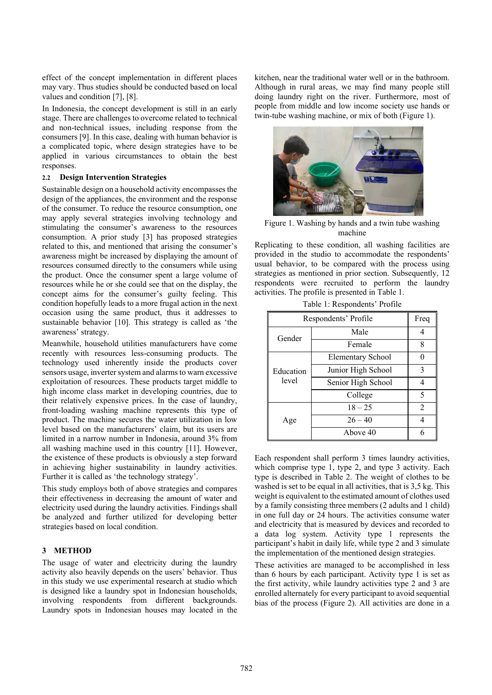effect of the concept implementation in different places may vary. Thus studies should be conducted based on local values and condition [7], [8].

In Indonesia, the concept development is still in an early stage. There are challenges to overcome related to technical and non-technical issues, including response from the consumers [9]. In this case, dealing with human behavior is a complicated topic, where design strategies have to be applied in various circumstances to obtain the best responses.

# **2.2 Design Intervention Strategies**

Sustainable design on a household activity encompasses the design of the appliances, the environment and the response of the consumer. To reduce the resource consumption, one may apply several strategies involving technology and stimulating the consumer's awareness to the resources consumption. A prior study [3] has proposed strategies related to this, and mentioned that arising the consumer's awareness might be increased by displaying the amount of resources consumed directly to the consumers while using the product. Once the consumer spent a large volume of resources while he or she could see that on the display, the concept aims for the consumer's guilty feeling. This condition hopefully leads to a more frugal action in the next occasion using the same product, thus it addresses to sustainable behavior [10]. This strategy is called as 'the awareness' strategy.

Meanwhile, household utilities manufacturers have come recently with resources less-consuming products. The technology used inherently inside the products cover sensors usage, inverter system and alarms to warn excessive exploitation of resources. These products target middle to high income class market in developing countries, due to their relatively expensive prices. In the case of laundry, front-loading washing machine represents this type of product. The machine secures the water utilization in low level based on the manufacturers' claim, but its users are limited in a narrow number in Indonesia, around 3% from all washing machine used in this country [11]. However, the existence of these products is obviously a step forward in achieving higher sustainability in laundry activities. Further it is called as 'the technology strategy'.

This study employs both of above strategies and compares their effectiveness in decreasing the amount of water and electricity used during the laundry activities. Findings shall be analyzed and further utilized for developing better strategies based on local condition.

## **3 METHOD**

The usage of water and electricity during the laundry activity also heavily depends on the users' behavior. Thus in this study we use experimental research at studio which is designed like a laundry spot in Indonesian households, involving respondents from different backgrounds. Laundry spots in Indonesian houses may located in the kitchen, near the traditional water well or in the bathroom. Although in rural areas, we may find many people still doing laundry right on the river. Furthermore, most of people from middle and low income society use hands or twin-tube washing machine, or mix of both (Figure 1).



Figure 1. Washing by hands and a twin tube washing machine

Replicating to these condition, all washing facilities are provided in the studio to accommodate the respondents' usual behavior, to be compared with the process using strategies as mentioned in prior section. Subsequently, 12 respondents were recruited to perform the laundry activities. The profile is presented in Table 1.

| Respondents' Profile | Freq                     |                |
|----------------------|--------------------------|----------------|
| Gender               | Male                     | 4              |
|                      | Female                   | 8              |
| Education            | <b>Elementary School</b> | 0              |
|                      | Junior High School       | 3              |
| level                | Senior High School       | 4              |
|                      | College                  | 5              |
|                      | $18 - 25$                | $\overline{2}$ |
| Age                  | $26 - 40$                | 4              |
|                      | Above 40                 | 6              |

Table 1: Respondents' Profile

Each respondent shall perform 3 times laundry activities, which comprise type 1, type 2, and type 3 activity. Each type is described in Table 2. The weight of clothes to be washed is set to be equal in all activities, that is 3.5 kg. This weight is equivalent to the estimated amount of clothes used by a family consisting three members (2 adults and 1 child) in one full day or 24 hours. The activities consume water and electricity that is measured by devices and recorded to a data log system. Activity type 1 represents the participant's habit in daily life, while type 2 and 3 simulate the implementation of the mentioned design strategies.

These activities are managed to be accomplished in less than 6 hours by each participant. Activity type 1 is set as the first activity, while laundry activities type 2 and 3 are enrolled alternately for every participant to avoid sequential bias of the process (Figure 2). All activities are done in a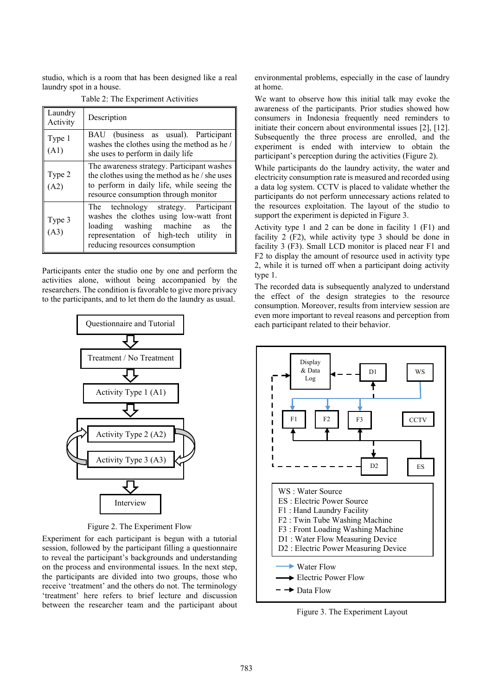studio, which is a room that has been designed like a real laundry spot in a house.

| Laundry<br>Activity | Description                                                                                                                                                                                         |  |  |  |  |  |  |
|---------------------|-----------------------------------------------------------------------------------------------------------------------------------------------------------------------------------------------------|--|--|--|--|--|--|
| Type 1<br>(A1)      | BAU (business as usual). Participant<br>washes the clothes using the method as he /<br>she uses to perform in daily life                                                                            |  |  |  |  |  |  |
| Type 2<br>(A2)      | The awareness strategy. Participant washes<br>the clothes using the method as he / she uses<br>to perform in daily life, while seeing the<br>resource consumption through monitor                   |  |  |  |  |  |  |
| Type 3<br>(A3)      | The technology strategy. Participant<br>washes the clothes using low-watt front<br>loading washing machine as<br>the<br>representation of high-tech utility<br>1n<br>reducing resources consumption |  |  |  |  |  |  |

Table 2: The Experiment Activities

Participants enter the studio one by one and perform the activities alone, without being accompanied by the researchers. The condition is favorable to give more privacy to the participants, and to let them do the laundry as usual.



Figure 2. The Experiment Flow

Experiment for each participant is begun with a tutorial session, followed by the participant filling a questionnaire to reveal the participant's backgrounds and understanding on the process and environmental issues. In the next step, the participants are divided into two groups, those who receive 'treatment' and the others do not. The terminology 'treatment' here refers to brief lecture and discussion between the researcher team and the participant about

environmental problems, especially in the case of laundry at home.

We want to observe how this initial talk may evoke the awareness of the participants. Prior studies showed how consumers in Indonesia frequently need reminders to initiate their concern about environmental issues [2], [12]. Subsequently the three process are enrolled, and the experiment is ended with interview to obtain the participant's perception during the activities (Figure 2).

While participants do the laundry activity, the water and electricity consumption rate is measured and recorded using a data log system. CCTV is placed to validate whether the participants do not perform unnecessary actions related to the resources exploitation. The layout of the studio to support the experiment is depicted in Figure 3.

Activity type 1 and 2 can be done in facility 1 (F1) and facility 2 (F2), while activity type 3 should be done in facility 3 (F3). Small LCD monitor is placed near F1 and F2 to display the amount of resource used in activity type 2, while it is turned off when a participant doing activity type 1.

The recorded data is subsequently analyzed to understand the effect of the design strategies to the resource consumption. Moreover, results from interview session are even more important to reveal reasons and perception from each participant related to their behavior.



Figure 3. The Experiment Layout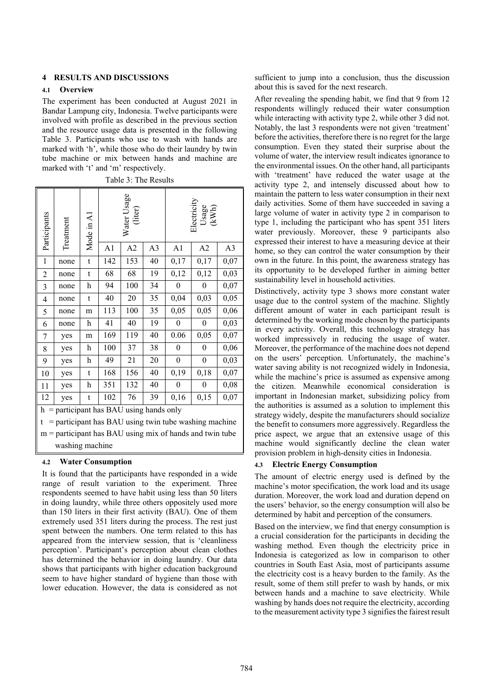# **4 RESULTS AND DISCUSSIONS**

#### **4.1 Overview**

The experiment has been conducted at August 2021 in Bandar Lampung city, Indonesia. Twelve participants were involved with profile as described in the previous section and the resource usage data is presented in the following Table 3. Participants who use to wash with hands are marked with 'h', while those who do their laundry by twin tube machine or mix between hands and machine are marked with 't' and 'm' respectively.

Table 3: The Results

| Participants                                               | <b>Treatment</b>                           | Mode in A1     | Water Usage<br>(liter) |                | Electricit<br>Usage<br>(KWh) |              |                |      |  |  |
|------------------------------------------------------------|--------------------------------------------|----------------|------------------------|----------------|------------------------------|--------------|----------------|------|--|--|
|                                                            |                                            | A <sub>1</sub> | A2                     | A <sub>3</sub> | A1                           | A2           | A <sub>3</sub> |      |  |  |
| 1                                                          | none                                       | t              | 142                    | 153            | 40                           | 0,17         | 0,17           | 0,07 |  |  |
| $\overline{c}$                                             | none                                       | t              | 68                     | 68             | 19                           | 0,12         | 0,12           | 0,03 |  |  |
| 3                                                          | none                                       | h              | 94                     | 100            | 34                           | $\theta$     | $\theta$       | 0,07 |  |  |
| $\overline{4}$                                             | none                                       | t              | 40                     | 20             | 35                           | 0,04         | 0,03           | 0,05 |  |  |
| 5                                                          | none                                       | m              | 113                    | 100            | 35                           | 0,05         | 0,05           | 0,06 |  |  |
| 6                                                          | none                                       | h              | 41                     | 40             | 19                           | $\theta$     | $\theta$       | 0,03 |  |  |
| 7                                                          | yes                                        | m              | 169                    | 119            | 40                           | 0.06         | 0,05           | 0,07 |  |  |
| 8                                                          | yes                                        | h              | 100                    | 37             | 38                           | $\mathbf{0}$ | $\overline{0}$ | 0,06 |  |  |
| 9                                                          | yes                                        | h              | 49                     | 21             | 20                           | $\theta$     | $\theta$       | 0,03 |  |  |
| 10                                                         | yes                                        | t              | 168                    | 156            | 40                           | 0,19         | 0,18           | 0,07 |  |  |
| 11                                                         | yes                                        | h              | 351                    | 132            | 40                           | $\theta$     | $\theta$       | 0,08 |  |  |
| 12                                                         | yes                                        | t              | 102                    | 76             | 39                           | 0,16         | 0,15           | 0,07 |  |  |
|                                                            | $h =$ participant has BAU using hands only |                |                        |                |                              |              |                |      |  |  |
| = participant has BAU using twin tube washing machine<br>t |                                            |                |                        |                |                              |              |                |      |  |  |
| $m =$ participant has BAU using mix of hands and twin tube |                                            |                |                        |                |                              |              |                |      |  |  |
| washing machine                                            |                                            |                |                        |                |                              |              |                |      |  |  |

### **4.2 Water Consumption**

It is found that the participants have responded in a wide range of result variation to the experiment. Three respondents seemed to have habit using less than 50 liters in doing laundry, while three others oppositely used more than 150 liters in their first activity (BAU). One of them extremely used 351 liters during the process. The rest just spent between the numbers. One term related to this has appeared from the interview session, that is 'cleanliness perception'. Participant's perception about clean clothes has determined the behavior in doing laundry. Our data shows that participants with higher education background seem to have higher standard of hygiene than those with lower education. However, the data is considered as not sufficient to jump into a conclusion, thus the discussion about this is saved for the next research.

After revealing the spending habit, we find that 9 from 12 respondents willingly reduced their water consumption while interacting with activity type 2, while other 3 did not. Notably, the last 3 respondents were not given 'treatment' before the activities, therefore there is no regret for the large consumption. Even they stated their surprise about the volume of water, the interview result indicates ignorance to the environmental issues. On the other hand, all participants with 'treatment' have reduced the water usage at the activity type 2, and intensely discussed about how to maintain the pattern to less water consumption in their next daily activities. Some of them have succeeded in saving a large volume of water in activity type 2 in comparison to type 1, including the participant who has spent 351 liters water previously. Moreover, these 9 participants also expressed their interest to have a measuring device at their home, so they can control the water consumption by their own in the future. In this point, the awareness strategy has its opportunity to be developed further in aiming better sustainability level in household activities.

Distinctively, activity type 3 shows more constant water usage due to the control system of the machine. Slightly different amount of water in each participant result is determined by the working mode chosen by the participants in every activity. Overall, this technology strategy has worked impressively in reducing the usage of water. Moreover, the performance of the machine does not depend on the users' perception. Unfortunately, the machine's water saving ability is not recognized widely in Indonesia, while the machine's price is assumed as expensive among the citizen. Meanwhile economical consideration is important in Indonesian market, subsidizing policy from the authorities is assumed as a solution to implement this strategy widely, despite the manufacturers should socialize the benefit to consumers more aggressively. Regardless the price aspect, we argue that an extensive usage of this machine would significantly decline the clean water provision problem in high-density cities in Indonesia.

#### **4.3 Electric Energy Consumption**

The amount of electric energy used is defined by the machine's motor specification, the work load and its usage duration. Moreover, the work load and duration depend on the users' behavior, so the energy consumption will also be determined by habit and perception of the consumers.

Based on the interview, we find that energy consumption is a crucial consideration for the participants in deciding the washing method. Even though the electricity price in Indonesia is categorized as low in comparison to other countries in South East Asia, most of participants assume the electricity cost is a heavy burden to the family. As the result, some of them still prefer to wash by hands, or mix between hands and a machine to save electricity. While washing by hands does not require the electricity, according to the measurement activity type 3 signifies the fairest result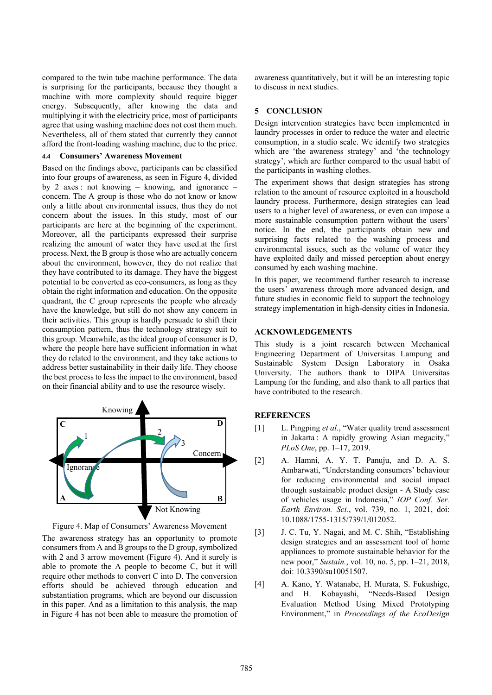compared to the twin tube machine performance. The data is surprising for the participants, because they thought a machine with more complexity should require bigger energy. Subsequently, after knowing the data and multiplying it with the electricity price, most of participants agree that using washing machine does not cost them much. Nevertheless, all of them stated that currently they cannot afford the front-loading washing machine, due to the price.

#### **4.4 Consumers' Awareness Movement**

Based on the findings above, participants can be classified into four groups of awareness, as seen in Figure 4, divided by 2 axes : not knowing – knowing, and ignorance – concern. The A group is those who do not know or know only a little about environmental issues, thus they do not concern about the issues. In this study, most of our participants are here at the beginning of the experiment. Moreover, all the participants expressed their surprise realizing the amount of water they have used.at the first process. Next, the B group is those who are actually concern about the environment, however, they do not realize that they have contributed to its damage. They have the biggest potential to be converted as eco-consumers, as long as they obtain the right information and education. On the opposite quadrant, the C group represents the people who already have the knowledge, but still do not show any concern in their activities. This group is hardly persuade to shift their consumption pattern, thus the technology strategy suit to this group. Meanwhile, as the ideal group of consumer is D, where the people here have sufficient information in what they do related to the environment, and they take actions to address better sustainability in their daily life. They choose the best process to less the impact to the environment, based on their financial ability and to use the resource wisely.



Figure 4. Map of Consumers' Awareness Movement

The awareness strategy has an opportunity to promote consumers from A and B groups to the D group, symbolized with 2 and 3 arrow movement (Figure 4). And it surely is able to promote the A people to become C, but it will require other methods to convert C into D. The conversion efforts should be achieved through education and substantiation programs, which are beyond our discussion in this paper. And as a limitation to this analysis, the map in Figure 4 has not been able to measure the promotion of awareness quantitatively, but it will be an interesting topic to discuss in next studies.

### **5 CONCLUSION**

Design intervention strategies have been implemented in laundry processes in order to reduce the water and electric consumption, in a studio scale. We identify two strategies which are 'the awareness strategy' and 'the technology strategy', which are further compared to the usual habit of the participants in washing clothes.

The experiment shows that design strategies has strong relation to the amount of resource exploited in a household laundry process. Furthermore, design strategies can lead users to a higher level of awareness, or even can impose a more sustainable consumption pattern without the users' notice. In the end, the participants obtain new and surprising facts related to the washing process and environmental issues, such as the volume of water they have exploited daily and missed perception about energy consumed by each washing machine.

In this paper, we recommend further research to increase the users' awareness through more advanced design, and future studies in economic field to support the technology strategy implementation in high-density cities in Indonesia.

## **ACKNOWLEDGEMENTS**

This study is a joint research between Mechanical Engineering Department of Universitas Lampung and Sustainable System Design Laboratory in Osaka University. The authors thank to DIPA Universitas Lampung for the funding, and also thank to all parties that have contributed to the research.

#### **REFERENCES**

- [1] L. Pingping *et al.*, "Water quality trend assessment in Jakarta : A rapidly growing Asian megacity," *PLoS One*, pp. 1–17, 2019.
- [2] A. Hamni, A. Y. T. Panuju, and D. A. S. Ambarwati, "Understanding consumers' behaviour for reducing environmental and social impact through sustainable product design - A Study case of vehicles usage in Indonesia," *IOP Conf. Ser. Earth Environ. Sci.*, vol. 739, no. 1, 2021, doi: 10.1088/1755-1315/739/1/012052.
- [3] J. C. Tu, Y. Nagai, and M. C. Shih, "Establishing design strategies and an assessment tool of home appliances to promote sustainable behavior for the new poor," *Sustain.*, vol. 10, no. 5, pp. 1–21, 2018, doi: 10.3390/su10051507.
- [4] A. Kano, Y. Watanabe, H. Murata, S. Fukushige, and H. Kobayashi, "Needs-Based Design Evaluation Method Using Mixed Prototyping Environment," in *Proceedings of the EcoDesign*